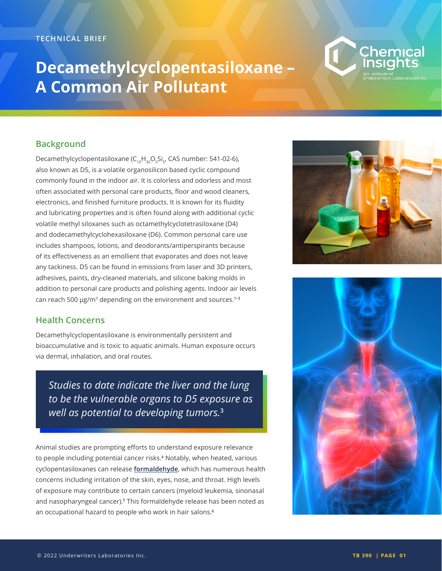#### **TECHNICAL BRIEF**

# **Decamethylcyclopentasiloxane – A Common Air Pollutant**

# Chemical

# **Background**

Decamethylcyclopentasiloxane (C<sub>10</sub>H<sub>30</sub>O<sub>5</sub>Si<sub>5</sub>, CAS number: 541-02-6), also known as D5, is a volatile organosilicon based cyclic compound commonly found in the indoor air. It is colorless and odorless and most often associated with personal care products, floor and wood cleaners, electronics, and finished furniture products. It is known for its fluidity and lubricating properties and is often found along with additional cyclic volatile methyl siloxanes such as octamethylcyclotetrasiloxane (D4) and dodecamethylcyclohexasiloxane (D6). Common personal care use includes shampoos, lotions, and deodorants/antiperspirants because of its effectiveness as an emollient that evaporates and does not leave any tackiness. D5 can be found in emissions from laser and 3D printers, adhesives, paints, dry-cleaned materials, and silicone baking molds in addition to personal care products and polishing agents. Indoor air levels can reach 500 µg/m3 depending on the environment and sources.**1–3**

## **Health Concerns**

Decamethylcyclopentasiloxane is environmentally persistent and bioaccumulative and is toxic to aquatic animals. Human exposure occurs via dermal, inhalation, and oral routes.

*Studies to date indicate the liver and the lung to be the vulnerable organs to D5 exposure as well as potential to developing tumors.***<sup>3</sup>**

Animal studies are prompting efforts to understand exposure relevance to people including potential cancer risks.**<sup>4</sup>** Notably, when heated, various cyclopentasiloxanes can release **formaldehyde**, which has numerous health concerns including irritation of the skin, eyes, nose, and throat. High levels of exposure may contribute to certain cancers (myeloid leukemia, sinonasal and nasopharyngeal cancer).**<sup>5</sup>** This formaldehyde release has been noted as an occupational hazard to people who work in hair salons.**<sup>6</sup>**